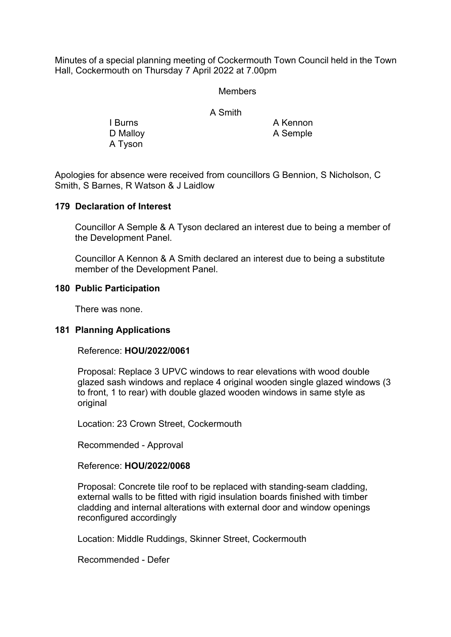Minutes of a special planning meeting of Cockermouth Town Council held in the Town Hall, Cockermouth on Thursday 7 April 2022 at 7.00pm

#### **Members**

A Smith

A Tyson

I Burns A Kennon D Malloy **A Semple** 

Apologies for absence were received from councillors G Bennion, S Nicholson, C Smith, S Barnes, R Watson & J Laidlow

#### **179 Declaration of Interest**

Councillor A Semple & A Tyson declared an interest due to being a member of the Development Panel.

 Councillor A Kennon & A Smith declared an interest due to being a substitute member of the Development Panel.

# **180 Public Participation**

There was none.

# **181 Planning Applications**

Reference: **HOU/2022/0061**

 Proposal: Replace 3 UPVC windows to rear elevations with wood double glazed sash windows and replace 4 original wooden single glazed windows (3 to front, 1 to rear) with double glazed wooden windows in same style as original

Location: 23 Crown Street, Cockermouth

Recommended - Approval

#### Reference: **HOU/2022/0068**

 Proposal: Concrete tile roof to be replaced with standing-seam cladding, external walls to be fitted with rigid insulation boards finished with timber cladding and internal alterations with external door and window openings reconfigured accordingly

Location: Middle Ruddings, Skinner Street, Cockermouth

Recommended - Defer